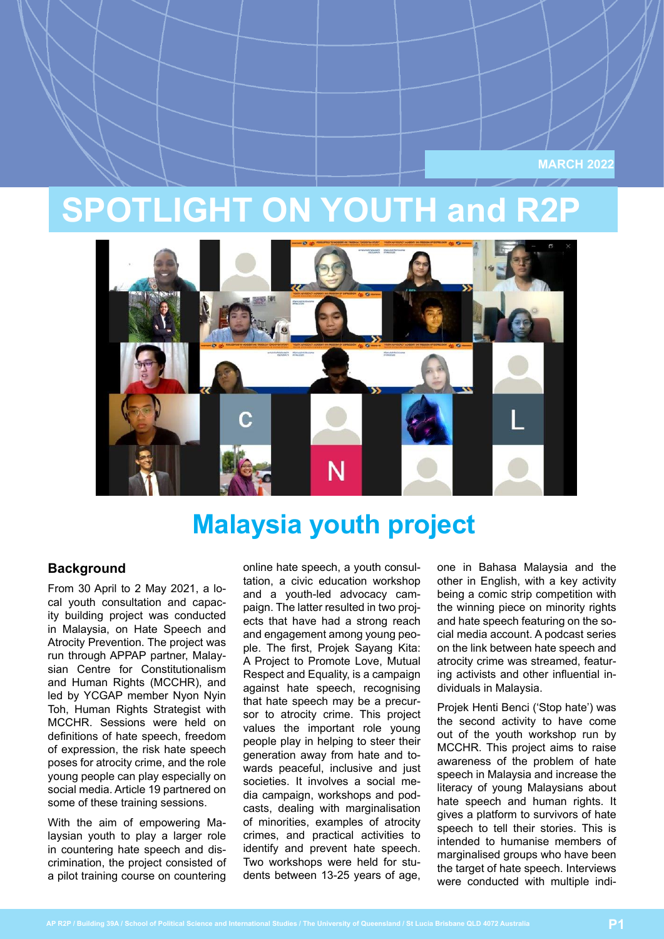**MARCH 2022**

## **SPOTLIGHT ON YOUTH and R2P**



### **Malaysia youth project**

#### **Background**

From 30 April to 2 May 2021, a local youth consultation and capacity building project was conducted in Malaysia, on Hate Speech and Atrocity Prevention. The project was run through APPAP partner, Malaysian Centre for Constitutionalism and Human Rights (MCCHR), and led by YCGAP member Nyon Nyin Toh, Human Rights Strategist with MCCHR. Sessions were held on definitions of hate speech, freedom of expression, the risk hate speech poses for atrocity crime, and the role young people can play especially on social media. Article 19 partnered on some of these training sessions.

With the aim of empowering Malaysian youth to play a larger role in countering hate speech and discrimination, the project consisted of a pilot training course on countering

online hate speech, a youth consultation, a civic education workshop and a youth-led advocacy campaign. The latter resulted in two projects that have had a strong reach and engagement among young people. The first, Projek Sayang Kita: A Project to Promote Love, Mutual Respect and Equality, is a campaign against hate speech, recognising that hate speech may be a precursor to atrocity crime. This project values the important role young people play in helping to steer their generation away from hate and towards peaceful, inclusive and just societies. It involves a social media campaign, workshops and podcasts, dealing with marginalisation of minorities, examples of atrocity crimes, and practical activities to identify and prevent hate speech. Two workshops were held for students between 13-25 years of age,

one in Bahasa Malaysia and the other in English, with a key activity being a comic strip competition with the winning piece on minority rights and hate speech featuring on the social media account. A podcast series on the link between hate speech and atrocity crime was streamed, featuring activists and other influential individuals in Malaysia.

Projek Henti Benci ('Stop hate') was the second activity to have come out of the youth workshop run by MCCHR. This project aims to raise awareness of the problem of hate speech in Malaysia and increase the literacy of young Malaysians about hate speech and human rights. It gives a platform to survivors of hate speech to tell their stories. This is intended to humanise members of marginalised groups who have been the target of hate speech. Interviews were conducted with multiple indi